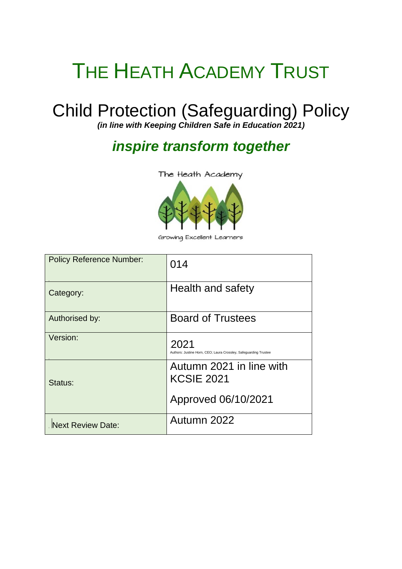# THE HEATH ACADEMY TRUST

# Child Protection (Safeguarding) Policy

*(in line with Keeping Children Safe in Education 2021)*

# *inspire transform together*

The Heath Academy



Growing Excellent Learners

| <b>Policy Reference Number:</b> | 014                                                                      |
|---------------------------------|--------------------------------------------------------------------------|
| Category:                       | Health and safety                                                        |
| Authorised by:                  | <b>Board of Trustees</b>                                                 |
| Version:                        | 2021<br>Authors: Justine Horn, CEO; Laura Crossley, Safeguarding Trustee |
| Status:                         | Autumn 2021 in line with<br><b>KCSIE 2021</b>                            |
|                                 | Approved 06/10/2021                                                      |
| <b>Next Review Date:</b>        | Autumn 2022                                                              |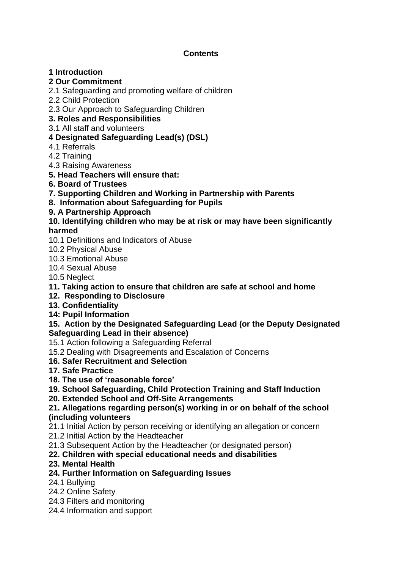# **Contents**

# **1 Introduction**

# **2 Our Commitment**

- 2.1 Safeguarding and promoting welfare of children
- 2.2 Child Protection

2.3 Our Approach to Safeguarding Children

- **3. Roles and Responsibilities**
- 3.1 All staff and volunteers

# **4 Designated Safeguarding Lead(s) (DSL)**

- 4.1 Referrals
- 4.2 Training
- 4.3 Raising Awareness
- **5. Head Teachers will ensure that:**
- **6. Board of Trustees**
- **7. Supporting Children and Working in Partnership with Parents**
- **8. Information about Safeguarding for Pupils**

# **9. A Partnership Approach**

# **10. Identifying children who may be at risk or may have been significantly harmed**

- 10.1 Definitions and Indicators of Abuse
- 10.2 Physical Abuse
- 10.3 Emotional Abuse
- 10.4 Sexual Abuse
- 10.5 Neglect
- **11. Taking action to ensure that children are safe at school and home**
- **12. Responding to Disclosure**
- **13. Confidentiality**
- **14: Pupil Information**

# **15. Action by the Designated Safeguarding Lead (or the Deputy Designated Safeguarding Lead in their absence)**

- 15.1 Action following a Safeguarding Referral
- 15.2 Dealing with Disagreements and Escalation of Concerns

# **16. Safer Recruitment and Selection**

- **17. Safe Practice**
- **18. The use of 'reasonable force'**
- **19. School Safeguarding, Child Protection Training and Staff Induction**
- **20. Extended School and Off-Site Arrangements**

# **21. Allegations regarding person(s) working in or on behalf of the school (including volunteers**

21.1 Initial Action by person receiving or identifying an allegation or concern

- 21.2 Initial Action by the Headteacher
- 21.3 Subsequent Action by the Headteacher (or designated person)

# **22. Children with special educational needs and disabilities**

# **23. Mental Health**

# **24. Further Information on Safeguarding Issues**

- 24.1 Bullying
- 24.2 Online Safety
- 24.3 Filters and monitoring
- 24.4 Information and support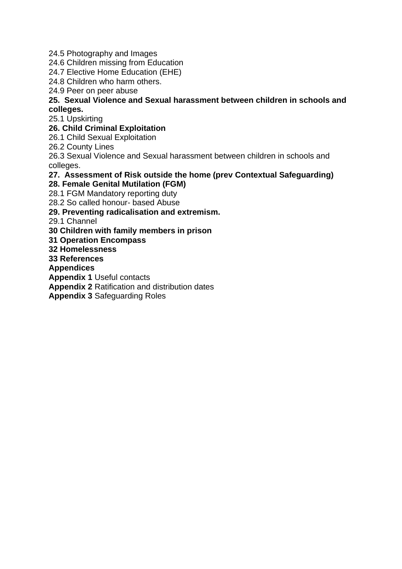- 24.5 Photography and Images
- 24.6 Children missing from Education
- 24.7 Elective Home Education (EHE)
- 24.8 Children who harm others.
- 24.9 Peer on peer abuse

# **25. Sexual Violence and Sexual harassment between children in schools and colleges.**

25.1 Upskirting

# **26. Child Criminal Exploitation**

26.1 Child Sexual Exploitation

26.2 County Lines

26.3 Sexual Violence and Sexual harassment between children in schools and colleges.

# **27. Assessment of Risk outside the home (prev Contextual Safeguarding)**

#### **28. Female Genital Mutilation (FGM)**

28.1 FGM Mandatory reporting duty

28.2 So called honour- based Abuse

# **29. Preventing radicalisation and extremism.**

29.1 Channel

# **30 Children with family members in prison**

**31 Operation Encompass**

# **32 Homelessness**

**33 References**

#### **Appendices**

**Appendix 1** Useful contacts

**Appendix 2** Ratification and distribution dates

**Appendix 3** Safeguarding Roles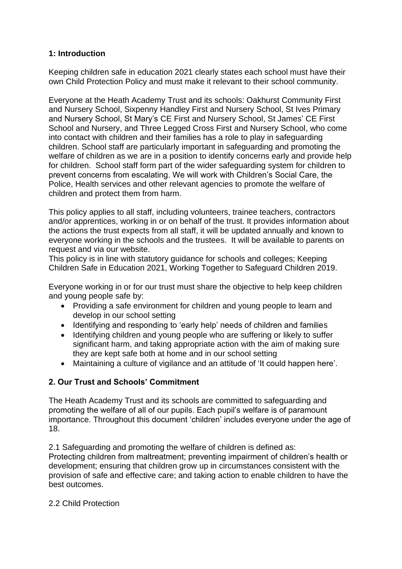# **1: Introduction**

Keeping children safe in education 2021 clearly states each school must have their own Child Protection Policy and must make it relevant to their school community.

Everyone at the Heath Academy Trust and its schools: Oakhurst Community First and Nursery School, Sixpenny Handley First and Nursery School, St Ives Primary and Nursery School, St Mary's CE First and Nursery School, St James' CE First School and Nursery, and Three Legged Cross First and Nursery School, who come into contact with children and their families has a role to play in safeguarding children. School staff are particularly important in safeguarding and promoting the welfare of children as we are in a position to identify concerns early and provide help for children. School staff form part of the wider safeguarding system for children to prevent concerns from escalating. We will work with Children's Social Care, the Police, Health services and other relevant agencies to promote the welfare of children and protect them from harm.

This policy applies to all staff, including volunteers, trainee teachers, contractors and/or apprentices, working in or on behalf of the trust. It provides information about the actions the trust expects from all staff, it will be updated annually and known to everyone working in the schools and the trustees. It will be available to parents on request and via our website.

This policy is in line with statutory guidance for schools and colleges; Keeping Children Safe in Education 2021, Working Together to Safeguard Children 2019.

Everyone working in or for our trust must share the objective to help keep children and young people safe by:

- Providing a safe environment for children and young people to learn and develop in our school setting
- Identifying and responding to 'early help' needs of children and families
- Identifying children and young people who are suffering or likely to suffer significant harm, and taking appropriate action with the aim of making sure they are kept safe both at home and in our school setting
- Maintaining a culture of vigilance and an attitude of 'It could happen here'.

#### **2. Our Trust and Schools' Commitment**

The Heath Academy Trust and its schools are committed to safeguarding and promoting the welfare of all of our pupils. Each pupil's welfare is of paramount importance. Throughout this document 'children' includes everyone under the age of 18.

2.1 Safeguarding and promoting the welfare of children is defined as: Protecting children from maltreatment; preventing impairment of children's health or development; ensuring that children grow up in circumstances consistent with the provision of safe and effective care; and taking action to enable children to have the best outcomes.

#### 2.2 Child Protection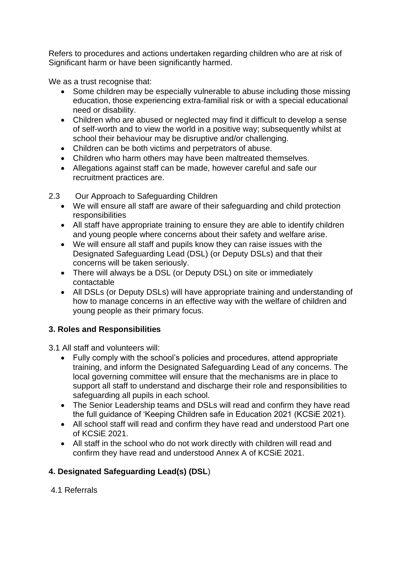Refers to procedures and actions undertaken regarding children who are at risk of Significant harm or have been significantly harmed.

We as a trust recognise that:

- Some children may be especially vulnerable to abuse including those missing education, those experiencing extra-familial risk or with a special educational need or disability.
- Children who are abused or neglected may find it difficult to develop a sense of self-worth and to view the world in a positive way; subsequently whilst at school their behaviour may be disruptive and/or challenging.
- Children can be both victims and perpetrators of abuse.
- Children who harm others may have been maltreated themselves.
- Allegations against staff can be made, however careful and safe our recruitment practices are.

2.3 Our Approach to Safeguarding Children

- We will ensure all staff are aware of their safeguarding and child protection responsibilities
- All staff have appropriate training to ensure they are able to identify children and young people where concerns about their safety and welfare arise.
- We will ensure all staff and pupils know they can raise issues with the Designated Safeguarding Lead (DSL) (or Deputy DSLs) and that their concerns will be taken seriously.
- There will always be a DSL (or Deputy DSL) on site or immediately contactable
- All DSLs (or Deputy DSLs) will have appropriate training and understanding of how to manage concerns in an effective way with the welfare of children and young people as their primary focus.

# **3. Roles and Responsibilities**

3.1 All staff and volunteers will:

- Fully comply with the school's policies and procedures, attend appropriate training, and inform the Designated Safeguarding Lead of any concerns. The local governing committee will ensure that the mechanisms are in place to support all staff to understand and discharge their role and responsibilities to safeguarding all pupils in each school.
- The Senior Leadership teams and DSLs will read and confirm they have read the full guidance of 'Keeping Children safe in Education 2021 (KCSiE 2021).
- All school staff will read and confirm they have read and understood Part one of KCSiE 2021.
- All staff in the school who do not work directly with children will read and confirm they have read and understood Annex A of KCSiE 2021.

# **4. Designated Safeguarding Lead(s) (DSL**)

# 4.1 Referrals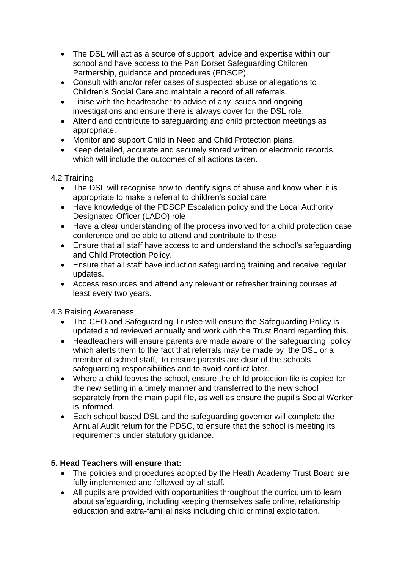- The DSL will act as a source of support, advice and expertise within our school and have access to the Pan Dorset Safeguarding Children Partnership, guidance and procedures (PDSCP).
- Consult with and/or refer cases of suspected abuse or allegations to Children's Social Care and maintain a record of all referrals.
- Liaise with the headteacher to advise of any issues and ongoing investigations and ensure there is always cover for the DSL role.
- Attend and contribute to safeguarding and child protection meetings as appropriate.
- Monitor and support Child in Need and Child Protection plans.
- Keep detailed, accurate and securely stored written or electronic records, which will include the outcomes of all actions taken.

# 4.2 Training

- The DSL will recognise how to identify signs of abuse and know when it is appropriate to make a referral to children's social care
- Have knowledge of the PDSCP Escalation policy and the Local Authority Designated Officer (LADO) role
- Have a clear understanding of the process involved for a child protection case conference and be able to attend and contribute to these
- Ensure that all staff have access to and understand the school's safeguarding and Child Protection Policy.
- Ensure that all staff have induction safeguarding training and receive regular updates.
- Access resources and attend any relevant or refresher training courses at least every two years.

# 4.3 Raising Awareness

- The CEO and Safeguarding Trustee will ensure the Safeguarding Policy is updated and reviewed annually and work with the Trust Board regarding this.
- Headteachers will ensure parents are made aware of the safeguarding policy which alerts them to the fact that referrals may be made by the DSL or a member of school staff, to ensure parents are clear of the schools safeguarding responsibilities and to avoid conflict later.
- Where a child leaves the school, ensure the child protection file is copied for the new setting in a timely manner and transferred to the new school separately from the main pupil file, as well as ensure the pupil's Social Worker is informed.
- Each school based DSL and the safeguarding governor will complete the Annual Audit return for the PDSC, to ensure that the school is meeting its requirements under statutory guidance.

# **5. Head Teachers will ensure that:**

- The policies and procedures adopted by the Heath Academy Trust Board are fully implemented and followed by all staff.
- All pupils are provided with opportunities throughout the curriculum to learn about safeguarding, including keeping themselves safe online, relationship education and extra-familial risks including child criminal exploitation.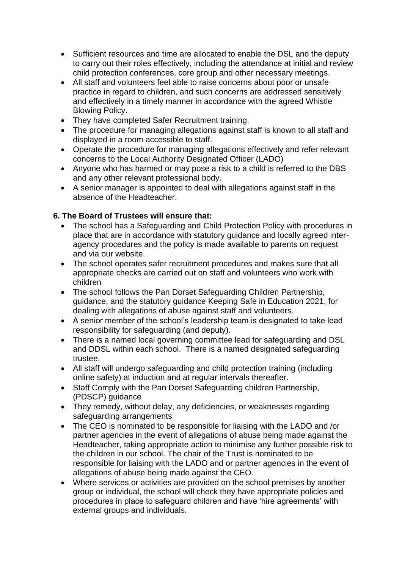- Sufficient resources and time are allocated to enable the DSL and the deputy to carry out their roles effectively, including the attendance at initial and review child protection conferences, core group and other necessary meetings.
- All staff and volunteers feel able to raise concerns about poor or unsafe practice in regard to children, and such concerns are addressed sensitively and effectively in a timely manner in accordance with the agreed Whistle Blowing Policy.
- They have completed Safer Recruitment training.
- The procedure for managing allegations against staff is known to all staff and displayed in a room accessible to staff.
- Operate the procedure for managing allegations effectively and refer relevant concerns to the Local Authority Designated Officer (LADO)
- Anyone who has harmed or may pose a risk to a child is referred to the DBS and any other relevant professional body.
- A senior manager is appointed to deal with allegations against staff in the absence of the Headteacher.

# **6. The Board of Trustees will ensure that:**

- The school has a Safeguarding and Child Protection Policy with procedures in place that are in accordance with statutory guidance and locally agreed interagency procedures and the policy is made available to parents on request and via our website.
- The school operates safer recruitment procedures and makes sure that all appropriate checks are carried out on staff and volunteers who work with children
- The school follows the Pan Dorset Safeguarding Children Partnership, guidance, and the statutory guidance Keeping Safe in Education 2021, for dealing with allegations of abuse against staff and volunteers.
- A senior member of the school's leadership team is designated to take lead responsibility for safeguarding (and deputy).
- There is a named local governing committee lead for safeguarding and DSL and DDSL within each school. There is a named designated safeguarding trustee.
- All staff will undergo safeguarding and child protection training (including online safety) at induction and at regular intervals thereafter.
- Staff Comply with the Pan Dorset Safeguarding children Partnership, (PDSCP) guidance
- They remedy, without delay, any deficiencies, or weaknesses regarding safeguarding arrangements
- The CEO is nominated to be responsible for liaising with the LADO and /or partner agencies in the event of allegations of abuse being made against the Headteacher, taking appropriate action to minimise any further possible risk to the children in our school. The chair of the Trust is nominated to be responsible for liaising with the LADO and or partner agencies in the event of allegations of abuse being made against the CEO.
- Where services or activities are provided on the school premises by another group or individual, the school will check they have appropriate policies and procedures in place to safeguard children and have 'hire agreements' with external groups and individuals.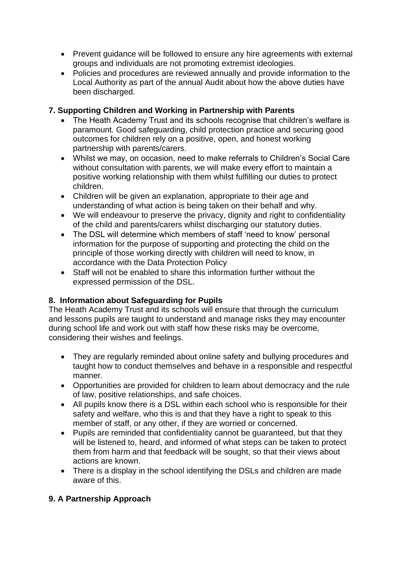- Prevent guidance will be followed to ensure any hire agreements with external groups and individuals are not promoting extremist ideologies.
- Policies and procedures are reviewed annually and provide information to the Local Authority as part of the annual Audit about how the above duties have been discharged.

# **7. Supporting Children and Working in Partnership with Parents**

- The Heath Academy Trust and its schools recognise that children's welfare is paramount. Good safeguarding, child protection practice and securing good outcomes for children rely on a positive, open, and honest working partnership with parents/carers.
- Whilst we may, on occasion, need to make referrals to Children's Social Care without consultation with parents, we will make every effort to maintain a positive working relationship with them whilst fulfilling our duties to protect children.
- Children will be given an explanation, appropriate to their age and understanding of what action is being taken on their behalf and why.
- We will endeavour to preserve the privacy, dignity and right to confidentiality of the child and parents/carers whilst discharging our statutory duties.
- The DSL will determine which members of staff 'need to know' personal information for the purpose of supporting and protecting the child on the principle of those working directly with children will need to know, in accordance with the Data Protection Policy
- Staff will not be enabled to share this information further without the expressed permission of the DSL.

# **8. Information about Safeguarding for Pupils**

The Heath Academy Trust and its schools will ensure that through the curriculum and lessons pupils are taught to understand and manage risks they may encounter during school life and work out with staff how these risks may be overcome, considering their wishes and feelings.

- They are regularly reminded about online safety and bullying procedures and taught how to conduct themselves and behave in a responsible and respectful manner.
- Opportunities are provided for children to learn about democracy and the rule of law, positive relationships, and safe choices.
- All pupils know there is a DSL within each school who is responsible for their safety and welfare, who this is and that they have a right to speak to this member of staff, or any other, if they are worried or concerned.
- Pupils are reminded that confidentiality cannot be guaranteed, but that they will be listened to, heard, and informed of what steps can be taken to protect them from harm and that feedback will be sought, so that their views about actions are known.
- There is a display in the school identifying the DSLs and children are made aware of this.

#### **9. A Partnership Approach**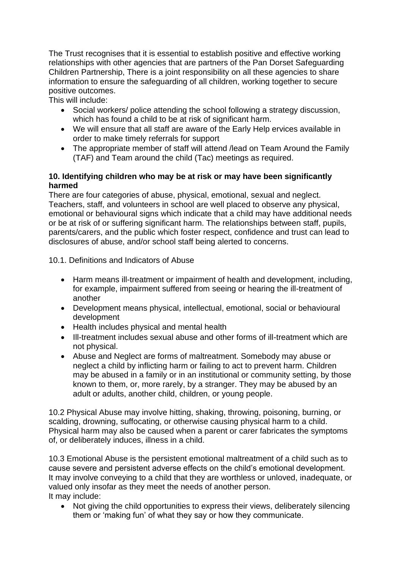The Trust recognises that it is essential to establish positive and effective working relationships with other agencies that are partners of the Pan Dorset Safeguarding Children Partnership, There is a joint responsibility on all these agencies to share information to ensure the safeguarding of all children, working together to secure positive outcomes.

This will include:

- Social workers/ police attending the school following a strategy discussion, which has found a child to be at risk of significant harm.
- We will ensure that all staff are aware of the Early Help ervices available in order to make timely referrals for support
- The appropriate member of staff will attend /lead on Team Around the Family (TAF) and Team around the child (Tac) meetings as required.

# **10. Identifying children who may be at risk or may have been significantly harmed**

There are four categories of abuse, physical, emotional, sexual and neglect. Teachers, staff, and volunteers in school are well placed to observe any physical, emotional or behavioural signs which indicate that a child may have additional needs or be at risk of or suffering significant harm. The relationships between staff, pupils, parents/carers, and the public which foster respect, confidence and trust can lead to disclosures of abuse, and/or school staff being alerted to concerns.

10.1. Definitions and Indicators of Abuse

- Harm means ill-treatment or impairment of health and development, including, for example, impairment suffered from seeing or hearing the ill-treatment of another
- Development means physical, intellectual, emotional, social or behavioural development
- Health includes physical and mental health
- Ill-treatment includes sexual abuse and other forms of ill-treatment which are not physical.
- Abuse and Neglect are forms of maltreatment. Somebody may abuse or neglect a child by inflicting harm or failing to act to prevent harm. Children may be abused in a family or in an institutional or community setting, by those known to them, or, more rarely, by a stranger. They may be abused by an adult or adults, another child, children, or young people.

10.2 Physical Abuse may involve hitting, shaking, throwing, poisoning, burning, or scalding, drowning, suffocating, or otherwise causing physical harm to a child. Physical harm may also be caused when a parent or carer fabricates the symptoms of, or deliberately induces, illness in a child.

10.3 Emotional Abuse is the persistent emotional maltreatment of a child such as to cause severe and persistent adverse effects on the child's emotional development. It may involve conveying to a child that they are worthless or unloved, inadequate, or valued only insofar as they meet the needs of another person. It may include:

• Not giving the child opportunities to express their views, deliberately silencing them or 'making fun' of what they say or how they communicate.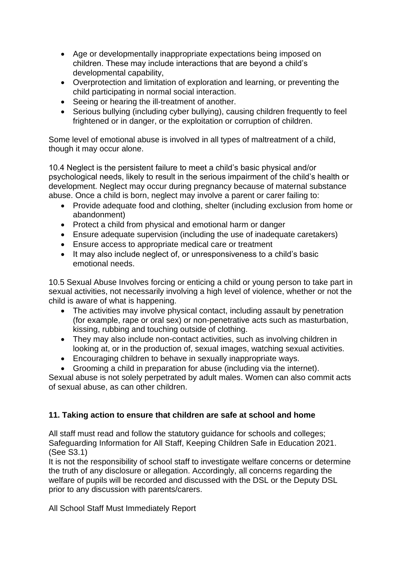- Age or developmentally inappropriate expectations being imposed on children. These may include interactions that are beyond a child's developmental capability,
- Overprotection and limitation of exploration and learning, or preventing the child participating in normal social interaction.
- Seeing or hearing the ill-treatment of another.
- Serious bullying (including cyber bullying), causing children frequently to feel frightened or in danger, or the exploitation or corruption of children.

Some level of emotional abuse is involved in all types of maltreatment of a child, though it may occur alone.

10.4 Neglect is the persistent failure to meet a child's basic physical and/or psychological needs, likely to result in the serious impairment of the child's health or development. Neglect may occur during pregnancy because of maternal substance abuse. Once a child is born, neglect may involve a parent or carer failing to:

- Provide adequate food and clothing, shelter (including exclusion from home or abandonment)
- Protect a child from physical and emotional harm or danger
- Ensure adequate supervision (including the use of inadequate caretakers)
- Ensure access to appropriate medical care or treatment
- It may also include neglect of, or unresponsiveness to a child's basic emotional needs.

10.5 Sexual Abuse Involves forcing or enticing a child or young person to take part in sexual activities, not necessarily involving a high level of violence, whether or not the child is aware of what is happening.

- The activities may involve physical contact, including assault by penetration (for example, rape or oral sex) or non-penetrative acts such as masturbation, kissing, rubbing and touching outside of clothing.
- They may also include non-contact activities, such as involving children in looking at, or in the production of, sexual images, watching sexual activities.
- Encouraging children to behave in sexually inappropriate ways.
- Grooming a child in preparation for abuse (including via the internet).

Sexual abuse is not solely perpetrated by adult males. Women can also commit acts of sexual abuse, as can other children.

# **11. Taking action to ensure that children are safe at school and home**

All staff must read and follow the statutory guidance for schools and colleges; Safeguarding Information for All Staff, Keeping Children Safe in Education 2021. (See S3.1)

It is not the responsibility of school staff to investigate welfare concerns or determine the truth of any disclosure or allegation. Accordingly, all concerns regarding the welfare of pupils will be recorded and discussed with the DSL or the Deputy DSL prior to any discussion with parents/carers.

All School Staff Must Immediately Report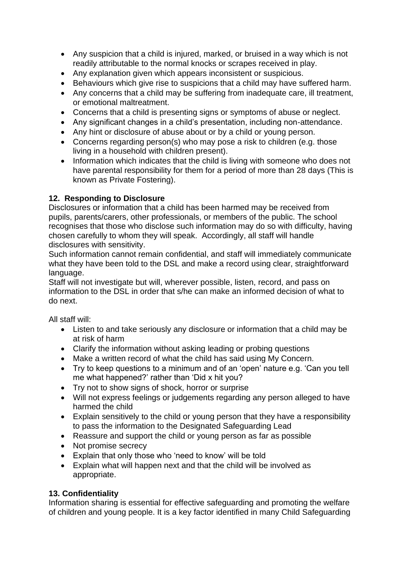- Any suspicion that a child is injured, marked, or bruised in a way which is not readily attributable to the normal knocks or scrapes received in play.
- Any explanation given which appears inconsistent or suspicious.
- Behaviours which give rise to suspicions that a child may have suffered harm.
- Any concerns that a child may be suffering from inadequate care, ill treatment, or emotional maltreatment.
- Concerns that a child is presenting signs or symptoms of abuse or neglect.
- Any significant changes in a child's presentation, including non-attendance.
- Any hint or disclosure of abuse about or by a child or young person.
- Concerns regarding person(s) who may pose a risk to children (e.g. those living in a household with children present).
- Information which indicates that the child is living with someone who does not have parental responsibility for them for a period of more than 28 days (This is known as Private Fostering).

# **12. Responding to Disclosure**

Disclosures or information that a child has been harmed may be received from pupils, parents/carers, other professionals, or members of the public. The school recognises that those who disclose such information may do so with difficulty, having chosen carefully to whom they will speak. Accordingly, all staff will handle disclosures with sensitivity.

Such information cannot remain confidential, and staff will immediately communicate what they have been told to the DSL and make a record using clear, straightforward language.

Staff will not investigate but will, wherever possible, listen, record, and pass on information to the DSL in order that s/he can make an informed decision of what to do next.

All staff will:

- Listen to and take seriously any disclosure or information that a child may be at risk of harm
- Clarify the information without asking leading or probing questions
- Make a written record of what the child has said using My Concern.
- Try to keep questions to a minimum and of an 'open' nature e.g. 'Can you tell me what happened?' rather than 'Did x hit you?
- Try not to show signs of shock, horror or surprise
- Will not express feelings or judgements regarding any person alleged to have harmed the child
- Explain sensitively to the child or young person that they have a responsibility to pass the information to the Designated Safeguarding Lead
- Reassure and support the child or young person as far as possible
- Not promise secrecy
- Explain that only those who 'need to know' will be told
- Explain what will happen next and that the child will be involved as appropriate.

# **13. Confidentiality**

Information sharing is essential for effective safeguarding and promoting the welfare of children and young people. It is a key factor identified in many Child Safeguarding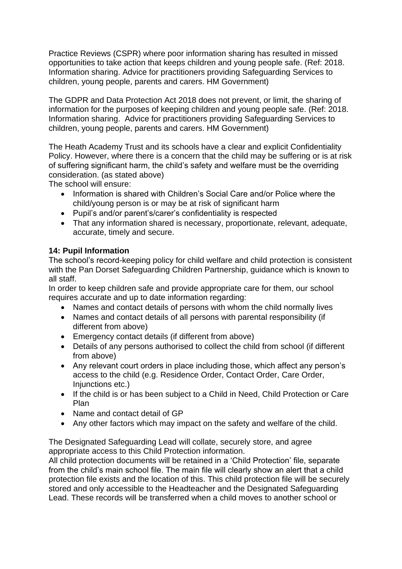Practice Reviews (CSPR) where poor information sharing has resulted in missed opportunities to take action that keeps children and young people safe. (Ref: 2018. Information sharing. Advice for practitioners providing Safeguarding Services to children, young people, parents and carers. HM Government)

The GDPR and Data Protection Act 2018 does not prevent, or limit, the sharing of information for the purposes of keeping children and young people safe. (Ref: 2018. Information sharing. Advice for practitioners providing Safeguarding Services to children, young people, parents and carers. HM Government)

The Heath Academy Trust and its schools have a clear and explicit Confidentiality Policy. However, where there is a concern that the child may be suffering or is at risk of suffering significant harm, the child's safety and welfare must be the overriding consideration. (as stated above)

The school will ensure:

- Information is shared with Children's Social Care and/or Police where the child/young person is or may be at risk of significant harm
- Pupil's and/or parent's/carer's confidentiality is respected
- That any information shared is necessary, proportionate, relevant, adequate, accurate, timely and secure.

#### **14: Pupil Information**

The school's record-keeping policy for child welfare and child protection is consistent with the Pan Dorset Safeguarding Children Partnership, guidance which is known to all staff.

In order to keep children safe and provide appropriate care for them, our school requires accurate and up to date information regarding:

- Names and contact details of persons with whom the child normally lives
- Names and contact details of all persons with parental responsibility (if different from above)
- Emergency contact details (if different from above)
- Details of any persons authorised to collect the child from school (if different from above)
- Any relevant court orders in place including those, which affect any person's access to the child (e.g. Residence Order, Contact Order, Care Order, Injunctions etc.)
- If the child is or has been subject to a Child in Need, Child Protection or Care Plan
- Name and contact detail of GP
- Any other factors which may impact on the safety and welfare of the child.

The Designated Safeguarding Lead will collate, securely store, and agree appropriate access to this Child Protection information.

All child protection documents will be retained in a 'Child Protection' file, separate from the child's main school file. The main file will clearly show an alert that a child protection file exists and the location of this. This child protection file will be securely stored and only accessible to the Headteacher and the Designated Safeguarding Lead. These records will be transferred when a child moves to another school or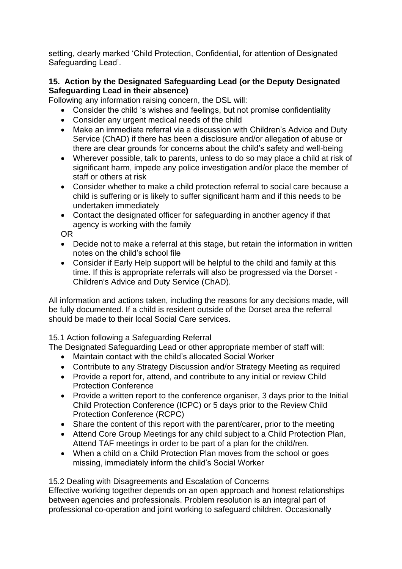setting, clearly marked 'Child Protection, Confidential, for attention of Designated Safeguarding Lead'.

# **15. Action by the Designated Safeguarding Lead (or the Deputy Designated Safeguarding Lead in their absence)**

Following any information raising concern, the DSL will:

- Consider the child 's wishes and feelings, but not promise confidentiality
- Consider any urgent medical needs of the child
- Make an immediate referral via a discussion with Children's Advice and Duty Service (ChAD) if there has been a disclosure and/or allegation of abuse or there are clear grounds for concerns about the child's safety and well-being
- Wherever possible, talk to parents, unless to do so may place a child at risk of significant harm, impede any police investigation and/or place the member of staff or others at risk
- Consider whether to make a child protection referral to social care because a child is suffering or is likely to suffer significant harm and if this needs to be undertaken immediately
- Contact the designated officer for safeguarding in another agency if that agency is working with the family

OR

- Decide not to make a referral at this stage, but retain the information in written notes on the child's school file
- Consider if Early Help support will be helpful to the child and family at this time. If this is appropriate referrals will also be progressed via the Dorset - Children's Advice and Duty Service (ChAD).

All information and actions taken, including the reasons for any decisions made, will be fully documented. If a child is resident outside of the Dorset area the referral should be made to their local Social Care services.

# 15.1 Action following a Safeguarding Referral

The Designated Safeguarding Lead or other appropriate member of staff will:

- Maintain contact with the child's allocated Social Worker
- Contribute to any Strategy Discussion and/or Strategy Meeting as required
- Provide a report for, attend, and contribute to any initial or review Child Protection Conference
- Provide a written report to the conference organiser, 3 days prior to the Initial Child Protection Conference (ICPC) or 5 days prior to the Review Child Protection Conference (RCPC)
- Share the content of this report with the parent/carer, prior to the meeting
- Attend Core Group Meetings for any child subject to a Child Protection Plan, Attend TAF meetings in order to be part of a plan for the child/ren.
- When a child on a Child Protection Plan moves from the school or goes missing, immediately inform the child's Social Worker

15.2 Dealing with Disagreements and Escalation of Concerns Effective working together depends on an open approach and honest relationships between agencies and professionals. Problem resolution is an integral part of professional co-operation and joint working to safeguard children. Occasionally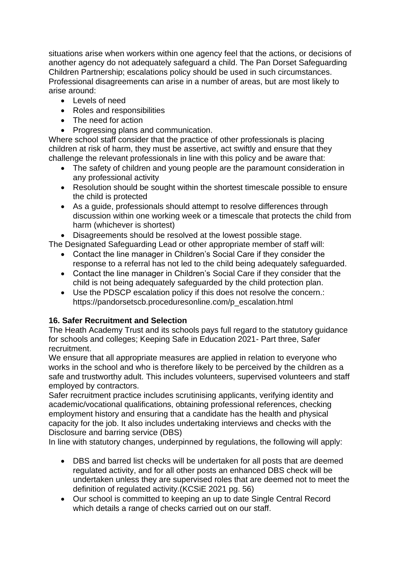situations arise when workers within one agency feel that the actions, or decisions of another agency do not adequately safeguard a child. The Pan Dorset Safeguarding Children Partnership; escalations policy should be used in such circumstances. Professional disagreements can arise in a number of areas, but are most likely to arise around:

- Levels of need
- Roles and responsibilities
- The need for action
- Progressing plans and communication.

Where school staff consider that the practice of other professionals is placing children at risk of harm, they must be assertive, act swiftly and ensure that they challenge the relevant professionals in line with this policy and be aware that:

- The safety of children and young people are the paramount consideration in any professional activity
- Resolution should be sought within the shortest timescale possible to ensure the child is protected
- As a guide, professionals should attempt to resolve differences through discussion within one working week or a timescale that protects the child from harm (whichever is shortest)
- Disagreements should be resolved at the lowest possible stage.

The Designated Safeguarding Lead or other appropriate member of staff will:

- Contact the line manager in Children's Social Care if they consider the response to a referral has not led to the child being adequately safeguarded.
- Contact the line manager in Children's Social Care if they consider that the child is not being adequately safeguarded by the child protection plan.
- Use the PDSCP escalation policy if this does not resolve the concern.: https://pandorsetscb.proceduresonline.com/p\_escalation.html

# **16. Safer Recruitment and Selection**

The Heath Academy Trust and its schools pays full regard to the statutory guidance for schools and colleges; Keeping Safe in Education 2021- Part three, Safer recruitment.

We ensure that all appropriate measures are applied in relation to everyone who works in the school and who is therefore likely to be perceived by the children as a safe and trustworthy adult. This includes volunteers, supervised volunteers and staff employed by contractors.

Safer recruitment practice includes scrutinising applicants, verifying identity and academic/vocational qualifications, obtaining professional references, checking employment history and ensuring that a candidate has the health and physical capacity for the job. It also includes undertaking interviews and checks with the Disclosure and barring service (DBS)

In line with statutory changes, underpinned by regulations, the following will apply:

- DBS and barred list checks will be undertaken for all posts that are deemed regulated activity, and for all other posts an enhanced DBS check will be undertaken unless they are supervised roles that are deemed not to meet the definition of regulated activity.(KCSiE 2021 pg. 56)
- Our school is committed to keeping an up to date Single Central Record which details a range of checks carried out on our staff.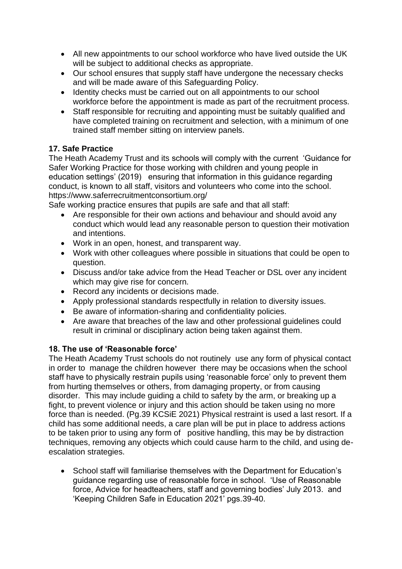- All new appointments to our school workforce who have lived outside the UK will be subject to additional checks as appropriate.
- Our school ensures that supply staff have undergone the necessary checks and will be made aware of this Safeguarding Policy.
- Identity checks must be carried out on all appointments to our school workforce before the appointment is made as part of the recruitment process.
- Staff responsible for recruiting and appointing must be suitably qualified and have completed training on recruitment and selection, with a minimum of one trained staff member sitting on interview panels.

# **17. Safe Practice**

The Heath Academy Trust and its schools will comply with the current 'Guidance for Safer Working Practice for those working with children and young people in education settings' (2019) ensuring that information in this guidance regarding conduct, is known to all staff, visitors and volunteers who come into the school. https://www.saferrecruitmentconsortium.org/

Safe working practice ensures that pupils are safe and that all staff:

- Are responsible for their own actions and behaviour and should avoid any conduct which would lead any reasonable person to question their motivation and intentions.
- Work in an open, honest, and transparent way.
- Work with other colleagues where possible in situations that could be open to question.
- Discuss and/or take advice from the Head Teacher or DSL over any incident which may give rise for concern.
- Record any incidents or decisions made.
- Apply professional standards respectfully in relation to diversity issues.
- Be aware of information-sharing and confidentiality policies.
- Are aware that breaches of the law and other professional guidelines could result in criminal or disciplinary action being taken against them.

# **18. The use of 'Reasonable force'**

The Heath Academy Trust schools do not routinely use any form of physical contact in order to manage the children however there may be occasions when the school staff have to physically restrain pupils using 'reasonable force' only to prevent them from hurting themselves or others, from damaging property, or from causing disorder. This may include guiding a child to safety by the arm, or breaking up a fight, to prevent violence or injury and this action should be taken using no more force than is needed. (Pg.39 KCSiE 2021) Physical restraint is used a last resort. If a child has some additional needs, a care plan will be put in place to address actions to be taken prior to using any form of positive handling, this may be by distraction techniques, removing any objects which could cause harm to the child, and using deescalation strategies.

• School staff will familiarise themselves with the Department for Education's guidance regarding use of reasonable force in school. 'Use of Reasonable force, Advice for headteachers, staff and governing bodies' July 2013. and 'Keeping Children Safe in Education 2021' pgs.39-40.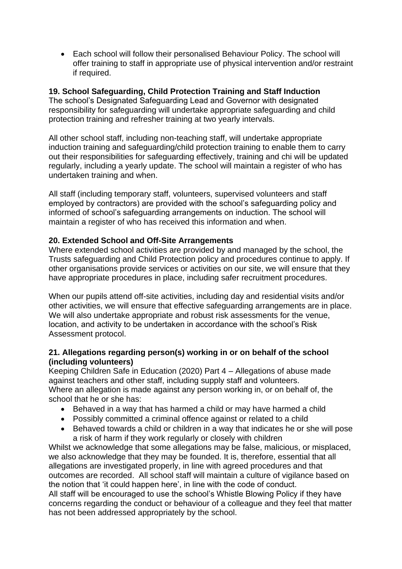• Each school will follow their personalised Behaviour Policy. The school will offer training to staff in appropriate use of physical intervention and/or restraint if required.

#### **19. School Safeguarding, Child Protection Training and Staff Induction**

The school's Designated Safeguarding Lead and Governor with designated responsibility for safeguarding will undertake appropriate safeguarding and child protection training and refresher training at two yearly intervals.

All other school staff, including non-teaching staff, will undertake appropriate induction training and safeguarding/child protection training to enable them to carry out their responsibilities for safeguarding effectively, training and chi will be updated regularly, including a yearly update. The school will maintain a register of who has undertaken training and when.

All staff (including temporary staff, volunteers, supervised volunteers and staff employed by contractors) are provided with the school's safeguarding policy and informed of school's safeguarding arrangements on induction. The school will maintain a register of who has received this information and when.

#### **20. Extended School and Off-Site Arrangements**

Where extended school activities are provided by and managed by the school, the Trusts safeguarding and Child Protection policy and procedures continue to apply. If other organisations provide services or activities on our site, we will ensure that they have appropriate procedures in place, including safer recruitment procedures.

When our pupils attend off-site activities, including day and residential visits and/or other activities, we will ensure that effective safeguarding arrangements are in place. We will also undertake appropriate and robust risk assessments for the venue, location, and activity to be undertaken in accordance with the school's Risk Assessment protocol.

# **21. Allegations regarding person(s) working in or on behalf of the school (including volunteers)**

Keeping Children Safe in Education (2020) Part 4 – Allegations of abuse made against teachers and other staff, including supply staff and volunteers. Where an allegation is made against any person working in, or on behalf of, the school that he or she has:

- Behaved in a way that has harmed a child or may have harmed a child
- Possibly committed a criminal offence against or related to a child
- Behaved towards a child or children in a way that indicates he or she will pose a risk of harm if they work regularly or closely with children

Whilst we acknowledge that some allegations may be false, malicious, or misplaced, we also acknowledge that they may be founded. It is, therefore, essential that all allegations are investigated properly, in line with agreed procedures and that outcomes are recorded. All school staff will maintain a culture of vigilance based on the notion that 'it could happen here', in line with the code of conduct. All staff will be encouraged to use the school's Whistle Blowing Policy if they have concerns regarding the conduct or behaviour of a colleague and they feel that matter has not been addressed appropriately by the school.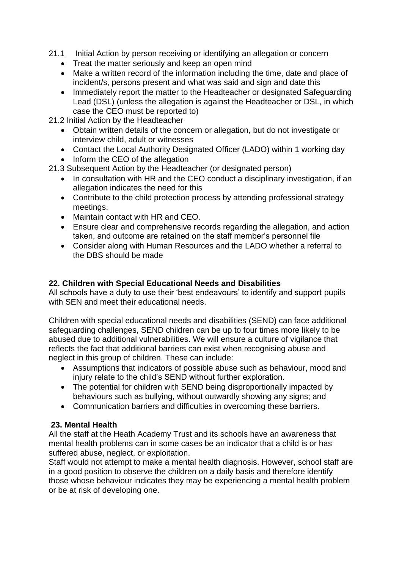- 21.1 Initial Action by person receiving or identifying an allegation or concern
	- Treat the matter seriously and keep an open mind
	- Make a written record of the information including the time, date and place of incident/s, persons present and what was said and sign and date this
	- Immediately report the matter to the Headteacher or designated Safeguarding Lead (DSL) (unless the allegation is against the Headteacher or DSL, in which case the CEO must be reported to)
- 21.2 Initial Action by the Headteacher
	- Obtain written details of the concern or allegation, but do not investigate or interview child, adult or witnesses
	- Contact the Local Authority Designated Officer (LADO) within 1 working day
	- Inform the CEO of the allegation
- 21.3 Subsequent Action by the Headteacher (or designated person)
	- In consultation with HR and the CEO conduct a disciplinary investigation, if an allegation indicates the need for this
	- Contribute to the child protection process by attending professional strategy meetings.
	- Maintain contact with HR and CEO.
	- Ensure clear and comprehensive records regarding the allegation, and action taken, and outcome are retained on the staff member's personnel file
	- Consider along with Human Resources and the LADO whether a referral to the DBS should be made

# **22. Children with Special Educational Needs and Disabilities**

All schools have a duty to use their 'best endeavours' to identify and support pupils with SEN and meet their educational needs.

Children with special educational needs and disabilities (SEND) can face additional safeguarding challenges, SEND children can be up to four times more likely to be abused due to additional vulnerabilities. We will ensure a culture of vigilance that reflects the fact that additional barriers can exist when recognising abuse and neglect in this group of children. These can include:

- Assumptions that indicators of possible abuse such as behaviour, mood and injury relate to the child's SEND without further exploration.
- The potential for children with SEND being disproportionally impacted by behaviours such as bullying, without outwardly showing any signs; and
- Communication barriers and difficulties in overcoming these barriers.

#### **23. Mental Health**

All the staff at the Heath Academy Trust and its schools have an awareness that mental health problems can in some cases be an indicator that a child is or has suffered abuse, neglect, or exploitation.

Staff would not attempt to make a mental health diagnosis. However, school staff are in a good position to observe the children on a daily basis and therefore identify those whose behaviour indicates they may be experiencing a mental health problem or be at risk of developing one.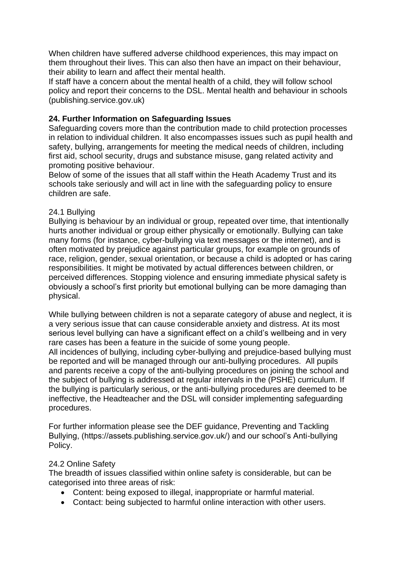When children have suffered adverse childhood experiences, this may impact on them throughout their lives. This can also then have an impact on their behaviour, their ability to learn and affect their mental health.

If staff have a concern about the mental health of a child, they will follow school policy and report their concerns to the DSL. Mental health and behaviour in schools (publishing.service.gov.uk)

# **24. Further Information on Safeguarding Issues**

Safeguarding covers more than the contribution made to child protection processes in relation to individual children. It also encompasses issues such as pupil health and safety, bullying, arrangements for meeting the medical needs of children, including first aid, school security, drugs and substance misuse, gang related activity and promoting positive behaviour.

Below of some of the issues that all staff within the Heath Academy Trust and its schools take seriously and will act in line with the safeguarding policy to ensure children are safe.

#### 24.1 Bullying

Bullying is behaviour by an individual or group, repeated over time, that intentionally hurts another individual or group either physically or emotionally. Bullying can take many forms (for instance, cyber-bullying via text messages or the internet), and is often motivated by prejudice against particular groups, for example on grounds of race, religion, gender, sexual orientation, or because a child is adopted or has caring responsibilities. It might be motivated by actual differences between children, or perceived differences. Stopping violence and ensuring immediate physical safety is obviously a school's first priority but emotional bullying can be more damaging than physical.

While bullying between children is not a separate category of abuse and neglect, it is a very serious issue that can cause considerable anxiety and distress. At its most serious level bullying can have a significant effect on a child's wellbeing and in very rare cases has been a feature in the suicide of some young people.

All incidences of bullying, including cyber-bullying and prejudice-based bullying must be reported and will be managed through our anti-bullying procedures. All pupils and parents receive a copy of the anti-bullying procedures on joining the school and the subject of bullying is addressed at regular intervals in the (PSHE) curriculum. If the bullying is particularly serious, or the anti-bullying procedures are deemed to be ineffective, the Headteacher and the DSL will consider implementing safeguarding procedures.

For further information please see the DEF guidance, Preventing and Tackling Bullying, (https://assets.publishing.service.gov.uk/) and our school's Anti-bullying Policy.

#### 24.2 Online Safety

The breadth of issues classified within online safety is considerable, but can be categorised into three areas of risk:

- Content: being exposed to illegal, inappropriate or harmful material.
- Contact: being subjected to harmful online interaction with other users.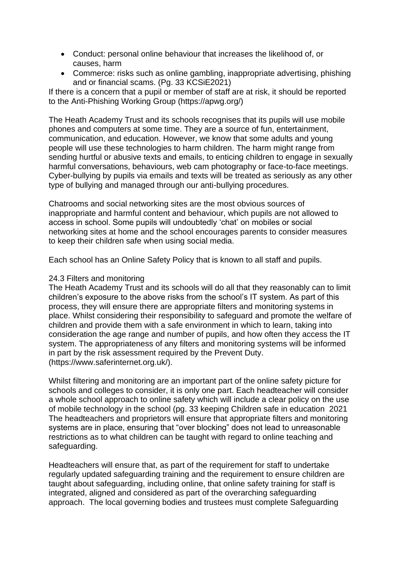- Conduct: personal online behaviour that increases the likelihood of, or causes, harm
- Commerce: risks such as online gambling, inappropriate advertising, phishing and or financial scams. (Pg. 33 KCSiE2021)

If there is a concern that a pupil or member of staff are at risk, it should be reported to the Anti-Phishing Working Group (https://apwg.org/)

The Heath Academy Trust and its schools recognises that its pupils will use mobile phones and computers at some time. They are a source of fun, entertainment, communication, and education. However, we know that some adults and young people will use these technologies to harm children. The harm might range from sending hurtful or abusive texts and emails, to enticing children to engage in sexually harmful conversations, behaviours, web cam photography or face-to-face meetings. Cyber-bullying by pupils via emails and texts will be treated as seriously as any other type of bullying and managed through our anti-bullying procedures.

Chatrooms and social networking sites are the most obvious sources of inappropriate and harmful content and behaviour, which pupils are not allowed to access in school. Some pupils will undoubtedly 'chat' on mobiles or social networking sites at home and the school encourages parents to consider measures to keep their children safe when using social media.

Each school has an Online Safety Policy that is known to all staff and pupils.

#### 24.3 Filters and monitoring

The Heath Academy Trust and its schools will do all that they reasonably can to limit children's exposure to the above risks from the school's IT system. As part of this process, they will ensure there are appropriate filters and monitoring systems in place. Whilst considering their responsibility to safeguard and promote the welfare of children and provide them with a safe environment in which to learn, taking into consideration the age range and number of pupils, and how often they access the IT system. The appropriateness of any filters and monitoring systems will be informed in part by the risk assessment required by the Prevent Duty. (https://www.saferinternet.org.uk/).

Whilst filtering and monitoring are an important part of the online safety picture for schools and colleges to consider, it is only one part. Each headteacher will consider a whole school approach to online safety which will include a clear policy on the use of mobile technology in the school (pg. 33 keeping Children safe in education 2021 The headteachers and proprietors will ensure that appropriate filters and monitoring systems are in place, ensuring that "over blocking" does not lead to unreasonable restrictions as to what children can be taught with regard to online teaching and safeguarding.

Headteachers will ensure that, as part of the requirement for staff to undertake regularly updated safeguarding training and the requirement to ensure children are taught about safeguarding, including online, that online safety training for staff is integrated, aligned and considered as part of the overarching safeguarding approach. The local governing bodies and trustees must complete Safeguarding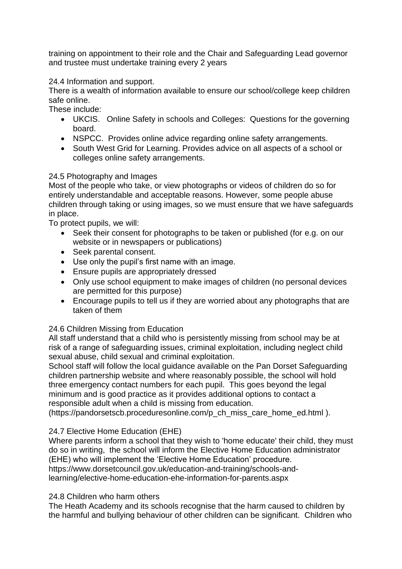training on appointment to their role and the Chair and Safeguarding Lead governor and trustee must undertake training every 2 years

# 24.4 Information and support.

There is a wealth of information available to ensure our school/college keep children safe online.

These include:

- UKCIS. Online Safety in schools and Colleges: Questions for the governing board.
- NSPCC. Provides online advice regarding online safety arrangements.
- South West Grid for Learning. Provides advice on all aspects of a school or colleges online safety arrangements.

#### 24.5 Photography and Images

Most of the people who take, or view photographs or videos of children do so for entirely understandable and acceptable reasons. However, some people abuse children through taking or using images, so we must ensure that we have safeguards in place.

To protect pupils, we will:

- Seek their consent for photographs to be taken or published (for e.g. on our website or in newspapers or publications)
- Seek parental consent.
- Use only the pupil's first name with an image.
- Ensure pupils are appropriately dressed
- Only use school equipment to make images of children (no personal devices are permitted for this purpose)
- Encourage pupils to tell us if they are worried about any photographs that are taken of them

#### 24.6 Children Missing from Education

All staff understand that a child who is persistently missing from school may be at risk of a range of safeguarding issues, criminal exploitation, including neglect child sexual abuse, child sexual and criminal exploitation.

School staff will follow the local guidance available on the Pan Dorset Safeguarding children partnership website and where reasonably possible, the school will hold three emergency contact numbers for each pupil. This goes beyond the legal minimum and is good practice as it provides additional options to contact a responsible adult when a child is missing from education.

(https://pandorsetscb.proceduresonline.com/p\_ch\_miss\_care\_home\_ed.html ).

#### 24.7 Elective Home Education (EHE)

Where parents inform a school that they wish to 'home educate' their child, they must do so in writing, the school will inform the Elective Home Education administrator (EHE) who will implement the 'Elective Home Education' procedure. https://www.dorsetcouncil.gov.uk/education-and-training/schools-andlearning/elective-home-education-ehe-information-for-parents.aspx

#### 24.8 Children who harm others

The Heath Academy and its schools recognise that the harm caused to children by the harmful and bullying behaviour of other children can be significant. Children who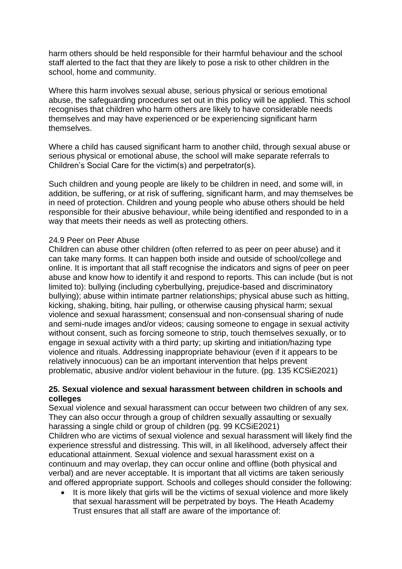harm others should be held responsible for their harmful behaviour and the school staff alerted to the fact that they are likely to pose a risk to other children in the school, home and community.

Where this harm involves sexual abuse, serious physical or serious emotional abuse, the safeguarding procedures set out in this policy will be applied. This school recognises that children who harm others are likely to have considerable needs themselves and may have experienced or be experiencing significant harm themselves.

Where a child has caused significant harm to another child, through sexual abuse or serious physical or emotional abuse, the school will make separate referrals to Children's Social Care for the victim(s) and perpetrator(s).

Such children and young people are likely to be children in need, and some will, in addition, be suffering, or at risk of suffering, significant harm, and may themselves be in need of protection. Children and young people who abuse others should be held responsible for their abusive behaviour, while being identified and responded to in a way that meets their needs as well as protecting others.

#### 24.9 Peer on Peer Abuse

Children can abuse other children (often referred to as peer on peer abuse) and it can take many forms. It can happen both inside and outside of school/college and online. It is important that all staff recognise the indicators and signs of peer on peer abuse and know how to identify it and respond to reports. This can include (but is not limited to): bullying (including cyberbullying, prejudice-based and discriminatory bullying); abuse within intimate partner relationships; physical abuse such as hitting, kicking, shaking, biting, hair pulling, or otherwise causing physical harm; sexual violence and sexual harassment; consensual and non-consensual sharing of nude and semi-nude images and/or videos; causing someone to engage in sexual activity without consent, such as forcing someone to strip, touch themselves sexually, or to engage in sexual activity with a third party; up skirting and initiation/hazing type violence and rituals. Addressing inappropriate behaviour (even if it appears to be relatively innocuous) can be an important intervention that helps prevent problematic, abusive and/or violent behaviour in the future. (pg. 135 KCSiE2021)

#### **25. Sexual violence and sexual harassment between children in schools and colleges**

Sexual violence and sexual harassment can occur between two children of any sex. They can also occur through a group of children sexually assaulting or sexually harassing a single child or group of children (pg. 99 KCSiE2021) Children who are victims of sexual violence and sexual harassment will likely find the experience stressful and distressing. This will, in all likelihood, adversely affect their educational attainment. Sexual violence and sexual harassment exist on a continuum and may overlap, they can occur online and offline (both physical and verbal) and are never acceptable. It is important that all victims are taken seriously and offered appropriate support. Schools and colleges should consider the following:

It is more likely that girls will be the victims of sexual violence and more likely that sexual harassment will be perpetrated by boys. The Heath Academy Trust ensures that all staff are aware of the importance of: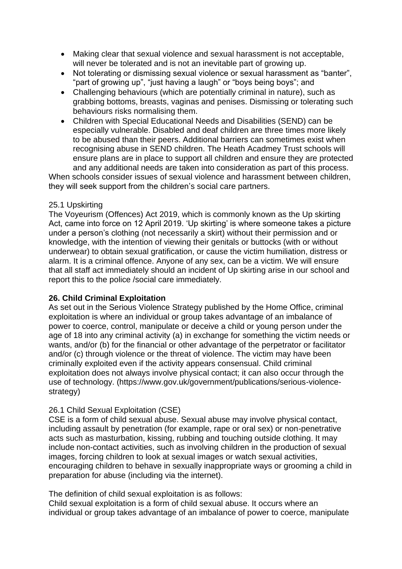- Making clear that sexual violence and sexual harassment is not acceptable, will never be tolerated and is not an inevitable part of growing up.
- Not tolerating or dismissing sexual violence or sexual harassment as "banter", "part of growing up", "just having a laugh" or "boys being boys"; and
- Challenging behaviours (which are potentially criminal in nature), such as grabbing bottoms, breasts, vaginas and penises. Dismissing or tolerating such behaviours risks normalising them.
- Children with Special Educational Needs and Disabilities (SEND) can be especially vulnerable. Disabled and deaf children are three times more likely to be abused than their peers. Additional barriers can sometimes exist when recognising abuse in SEND children. The Heath Acadmey Trust schools will ensure plans are in place to support all children and ensure they are protected and any additional needs are taken into consideration as part of this process.

When schools consider issues of sexual violence and harassment between children, they will seek support from the children's social care partners.

#### 25.1 Upskirting

The Voyeurism (Offences) Act 2019, which is commonly known as the Up skirting Act, came into force on 12 April 2019. 'Up skirting' is where someone takes a picture under a person's clothing (not necessarily a skirt) without their permission and or knowledge, with the intention of viewing their genitals or buttocks (with or without underwear) to obtain sexual gratification, or cause the victim humiliation, distress or alarm. It is a criminal offence. Anyone of any sex, can be a victim. We will ensure that all staff act immediately should an incident of Up skirting arise in our school and report this to the police /social care immediately.

#### **26. Child Criminal Exploitation**

As set out in the Serious Violence Strategy published by the Home Office, criminal exploitation is where an individual or group takes advantage of an imbalance of power to coerce, control, manipulate or deceive a child or young person under the age of 18 into any criminal activity (a) in exchange for something the victim needs or wants, and/or (b) for the financial or other advantage of the perpetrator or facilitator and/or (c) through violence or the threat of violence. The victim may have been criminally exploited even if the activity appears consensual. Child criminal exploitation does not always involve physical contact; it can also occur through the use of technology. (https://www.gov.uk/government/publications/serious-violencestrategy)

#### 26.1 Child Sexual Exploitation (CSE)

CSE is a form of child sexual abuse. Sexual abuse may involve physical contact, including assault by penetration (for example, rape or oral sex) or non-penetrative acts such as masturbation, kissing, rubbing and touching outside clothing. It may include non-contact activities, such as involving children in the production of sexual images, forcing children to look at sexual images or watch sexual activities, encouraging children to behave in sexually inappropriate ways or grooming a child in preparation for abuse (including via the internet).

The definition of child sexual exploitation is as follows:

Child sexual exploitation is a form of child sexual abuse. It occurs where an individual or group takes advantage of an imbalance of power to coerce, manipulate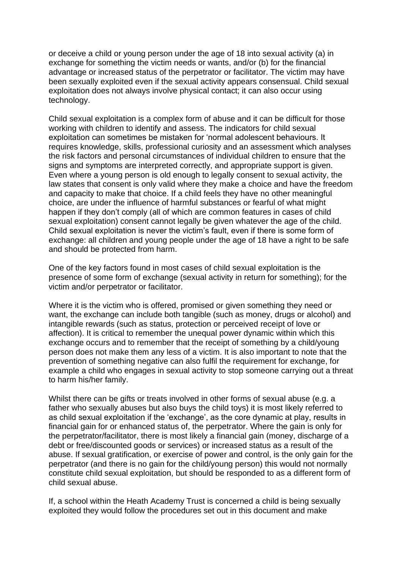or deceive a child or young person under the age of 18 into sexual activity (a) in exchange for something the victim needs or wants, and/or (b) for the financial advantage or increased status of the perpetrator or facilitator. The victim may have been sexually exploited even if the sexual activity appears consensual. Child sexual exploitation does not always involve physical contact; it can also occur using technology.

Child sexual exploitation is a complex form of abuse and it can be difficult for those working with children to identify and assess. The indicators for child sexual exploitation can sometimes be mistaken for 'normal adolescent behaviours. It requires knowledge, skills, professional curiosity and an assessment which analyses the risk factors and personal circumstances of individual children to ensure that the signs and symptoms are interpreted correctly, and appropriate support is given. Even where a young person is old enough to legally consent to sexual activity, the law states that consent is only valid where they make a choice and have the freedom and capacity to make that choice. If a child feels they have no other meaningful choice, are under the influence of harmful substances or fearful of what might happen if they don't comply (all of which are common features in cases of child sexual exploitation) consent cannot legally be given whatever the age of the child. Child sexual exploitation is never the victim's fault, even if there is some form of exchange: all children and young people under the age of 18 have a right to be safe and should be protected from harm.

One of the key factors found in most cases of child sexual exploitation is the presence of some form of exchange (sexual activity in return for something); for the victim and/or perpetrator or facilitator.

Where it is the victim who is offered, promised or given something they need or want, the exchange can include both tangible (such as money, drugs or alcohol) and intangible rewards (such as status, protection or perceived receipt of love or affection). It is critical to remember the unequal power dynamic within which this exchange occurs and to remember that the receipt of something by a child/young person does not make them any less of a victim. It is also important to note that the prevention of something negative can also fulfil the requirement for exchange, for example a child who engages in sexual activity to stop someone carrying out a threat to harm his/her family.

Whilst there can be gifts or treats involved in other forms of sexual abuse (e.g. a father who sexually abuses but also buys the child toys) it is most likely referred to as child sexual exploitation if the 'exchange', as the core dynamic at play, results in financial gain for or enhanced status of, the perpetrator. Where the gain is only for the perpetrator/facilitator, there is most likely a financial gain (money, discharge of a debt or free/discounted goods or services) or increased status as a result of the abuse. If sexual gratification, or exercise of power and control, is the only gain for the perpetrator (and there is no gain for the child/young person) this would not normally constitute child sexual exploitation, but should be responded to as a different form of child sexual abuse.

If, a school within the Heath Academy Trust is concerned a child is being sexually exploited they would follow the procedures set out in this document and make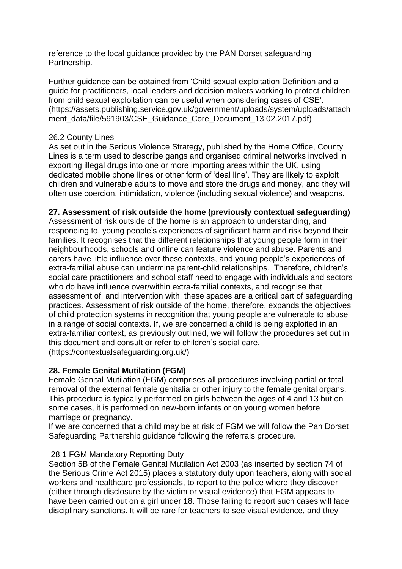reference to the local guidance provided by the PAN Dorset safeguarding Partnership.

Further guidance can be obtained from 'Child sexual exploitation Definition and a guide for practitioners, local leaders and decision makers working to protect children from child sexual exploitation can be useful when considering cases of CSE'. (https://assets.publishing.service.gov.uk/government/uploads/system/uploads/attach ment\_data/file/591903/CSE\_Guidance\_Core\_Document\_13.02.2017.pdf)

#### 26.2 County Lines

As set out in the Serious Violence Strategy, published by the Home Office, County Lines is a term used to describe gangs and organised criminal networks involved in exporting illegal drugs into one or more importing areas within the UK, using dedicated mobile phone lines or other form of 'deal line'. They are likely to exploit children and vulnerable adults to move and store the drugs and money, and they will often use coercion, intimidation, violence (including sexual violence) and weapons.

# **27. Assessment of risk outside the home (previously contextual safeguarding)**

Assessment of risk outside of the home is an approach to understanding, and responding to, young people's experiences of significant harm and risk beyond their families. It recognises that the different relationships that young people form in their neighbourhoods, schools and online can feature violence and abuse. Parents and carers have little influence over these contexts, and young people's experiences of extra-familial abuse can undermine parent-child relationships. Therefore, children's social care practitioners and school staff need to engage with individuals and sectors who do have influence over/within extra-familial contexts, and recognise that assessment of, and intervention with, these spaces are a critical part of safeguarding practices. Assessment of risk outside of the home, therefore, expands the objectives of child protection systems in recognition that young people are vulnerable to abuse in a range of social contexts. If, we are concerned a child is being exploited in an extra-familiar context, as previously outlined, we will follow the procedures set out in this document and consult or refer to children's social care. (https://contextualsafeguarding.org.uk/)

#### **28. Female Genital Mutilation (FGM)**

Female Genital Mutilation (FGM) comprises all procedures involving partial or total removal of the external female genitalia or other injury to the female genital organs. This procedure is typically performed on girls between the ages of 4 and 13 but on some cases, it is performed on new-born infants or on young women before marriage or pregnancy.

If we are concerned that a child may be at risk of FGM we will follow the Pan Dorset Safeguarding Partnership guidance following the referrals procedure.

#### 28.1 FGM Mandatory Reporting Duty

Section 5B of the Female Genital Mutilation Act 2003 (as inserted by section 74 of the Serious Crime Act 2015) places a statutory duty upon teachers, along with social workers and healthcare professionals, to report to the police where they discover (either through disclosure by the victim or visual evidence) that FGM appears to have been carried out on a girl under 18. Those failing to report such cases will face disciplinary sanctions. It will be rare for teachers to see visual evidence, and they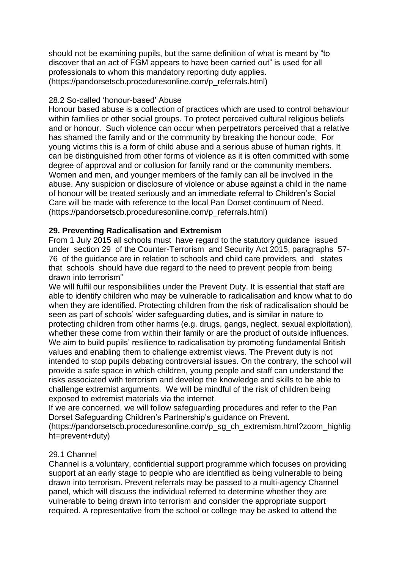should not be examining pupils, but the same definition of what is meant by "to discover that an act of FGM appears to have been carried out" is used for all professionals to whom this mandatory reporting duty applies. (https://pandorsetscb.proceduresonline.com/p\_referrals.html)

#### 28.2 So-called 'honour-based' Abuse

Honour based abuse is a collection of practices which are used to control behaviour within families or other social groups. To protect perceived cultural religious beliefs and or honour. Such violence can occur when perpetrators perceived that a relative has shamed the family and or the community by breaking the honour code. For young victims this is a form of child abuse and a serious abuse of human rights. It can be distinguished from other forms of violence as it is often committed with some degree of approval and or collusion for family rand or the community members. Women and men, and younger members of the family can all be involved in the abuse. Any suspicion or disclosure of violence or abuse against a child in the name of honour will be treated seriously and an immediate referral to Children's Social Care will be made with reference to the local Pan Dorset continuum of Need. (https://pandorsetscb.proceduresonline.com/p\_referrals.html)

#### **29. Preventing Radicalisation and Extremism**

From 1 July 2015 all schools must have regard to the statutory guidance issued under section 29 of the Counter-Terrorism and Security Act 2015, paragraphs 57- 76 of the guidance are in relation to schools and child care providers, and states that schools should have due regard to the need to prevent people from being drawn into terrorism"

We will fulfil our responsibilities under the Prevent Duty. It is essential that staff are able to identify children who may be vulnerable to radicalisation and know what to do when they are identified. Protecting children from the risk of radicalisation should be seen as part of schools' wider safeguarding duties, and is similar in nature to protecting children from other harms (e.g. drugs, gangs, neglect, sexual exploitation), whether these come from within their family or are the product of outside influences. We aim to build pupils' resilience to radicalisation by promoting fundamental British values and enabling them to challenge extremist views. The Prevent duty is not intended to stop pupils debating controversial issues. On the contrary, the school will provide a safe space in which children, young people and staff can understand the risks associated with terrorism and develop the knowledge and skills to be able to challenge extremist arguments. We will be mindful of the risk of children being exposed to extremist materials via the internet.

If we are concerned, we will follow safeguarding procedures and refer to the Pan Dorset Safeguarding Children's Partnership's guidance on Prevent.

(https://pandorsetscb.proceduresonline.com/p\_sg\_ch\_extremism.html?zoom\_highlig ht=prevent+duty)

#### 29.1 Channel

Channel is a voluntary, confidential support programme which focuses on providing support at an early stage to people who are identified as being vulnerable to being drawn into terrorism. Prevent referrals may be passed to a multi-agency Channel panel, which will discuss the individual referred to determine whether they are vulnerable to being drawn into terrorism and consider the appropriate support required. A representative from the school or college may be asked to attend the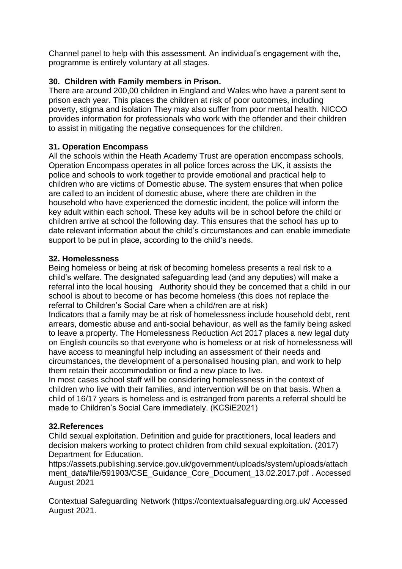Channel panel to help with this assessment. An individual's engagement with the, programme is entirely voluntary at all stages.

# **30. Children with Family members in Prison.**

There are around 200,00 children in England and Wales who have a parent sent to prison each year. This places the children at risk of poor outcomes, including poverty, stigma and isolation They may also suffer from poor mental health. NICCO provides information for professionals who work with the offender and their children to assist in mitigating the negative consequences for the children.

# **31. Operation Encompass**

All the schools within the Heath Academy Trust are operation encompass schools. Operation Encompass operates in all police forces across the UK, it assists the police and schools to work together to provide emotional and practical help to children who are victims of Domestic abuse. The system ensures that when police are called to an incident of domestic abuse, where there are children in the household who have experienced the domestic incident, the police will inform the key adult within each school. These key adults will be in school before the child or children arrive at school the following day. This ensures that the school has up to date relevant information about the child's circumstances and can enable immediate support to be put in place, according to the child's needs.

#### **32. Homelessness**

Being homeless or being at risk of becoming homeless presents a real risk to a child's welfare. The designated safeguarding lead (and any deputies) will make a referral into the local housing Authority should they be concerned that a child in our school is about to become or has become homeless (this does not replace the referral to Children's Social Care when a child/ren are at risk)

Indicators that a family may be at risk of homelessness include household debt, rent arrears, domestic abuse and anti-social behaviour, as well as the family being asked to leave a property. The Homelessness Reduction Act 2017 places a new legal duty on English councils so that everyone who is homeless or at risk of homelessness will have access to meaningful help including an assessment of their needs and circumstances, the development of a personalised housing plan, and work to help them retain their accommodation or find a new place to live.

In most cases school staff will be considering homelessness in the context of children who live with their families, and intervention will be on that basis. When a child of 16/17 years is homeless and is estranged from parents a referral should be made to Children's Social Care immediately. (KCSiE2021)

#### **32.References**

Child sexual exploitation. Definition and guide for practitioners, local leaders and decision makers working to protect children from child sexual exploitation. (2017) Department for Education.

https://assets.publishing.service.gov.uk/government/uploads/system/uploads/attach ment\_data/file/591903/CSE\_Guidance\_Core\_Document\_13.02.2017.pdf . Accessed August 2021

Contextual Safeguarding Network (https://contextualsafeguarding.org.uk/ Accessed August 2021.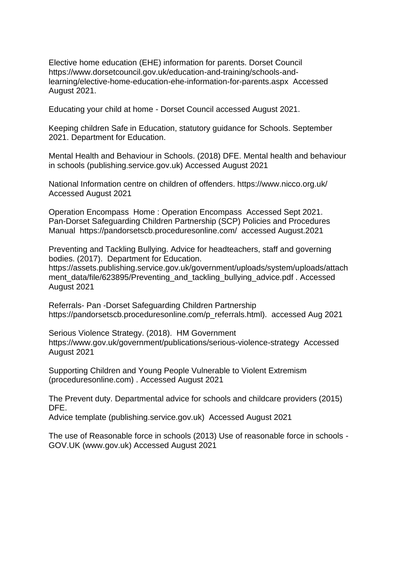Elective home education (EHE) information for parents. Dorset Council https://www.dorsetcouncil.gov.uk/education-and-training/schools-andlearning/elective-home-education-ehe-information-for-parents.aspx Accessed August 2021.

Educating your child at home - Dorset Council accessed August 2021.

Keeping children Safe in Education, statutory guidance for Schools. September 2021. Department for Education.

Mental Health and Behaviour in Schools. (2018) DFE. Mental health and behaviour in schools (publishing.service.gov.uk) Accessed August 2021

National Information centre on children of offenders. https://www.nicco.org.uk/ Accessed August 2021

Operation Encompass Home : Operation Encompass Accessed Sept 2021. Pan-Dorset Safeguarding Children Partnership (SCP) Policies and Procedures Manual https://pandorsetscb.proceduresonline.com/ accessed August.2021

Preventing and Tackling Bullying. Advice for headteachers, staff and governing bodies. (2017). Department for Education.

https://assets.publishing.service.gov.uk/government/uploads/system/uploads/attach ment\_data/file/623895/Preventing\_and\_tackling\_bullying\_advice.pdf . Accessed August 2021

Referrals- Pan -Dorset Safeguarding Children Partnership https://pandorsetscb.proceduresonline.com/p\_referrals.html). accessed Aug 2021

Serious Violence Strategy. (2018). HM Government https://www.gov.uk/government/publications/serious-violence-strategy Accessed August 2021

Supporting Children and Young People Vulnerable to Violent Extremism (proceduresonline.com) . Accessed August 2021

The Prevent duty. Departmental advice for schools and childcare providers (2015) DFE.

Advice template (publishing.service.gov.uk) Accessed August 2021

The use of Reasonable force in schools (2013) Use of reasonable force in schools - GOV.UK (www.gov.uk) Accessed August 2021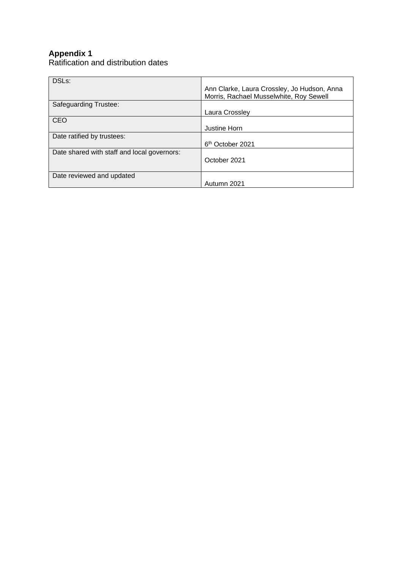# **Appendix 1**

Ratification and distribution dates

| DSLs:                                       | Ann Clarke, Laura Crossley, Jo Hudson, Anna<br>Morris, Rachael Musselwhite, Roy Sewell |
|---------------------------------------------|----------------------------------------------------------------------------------------|
| Safeguarding Trustee:                       |                                                                                        |
|                                             | Laura Crossley                                                                         |
| <b>CEO</b>                                  |                                                                                        |
|                                             | Justine Horn                                                                           |
| Date ratified by trustees:                  |                                                                                        |
|                                             | 6 <sup>th</sup> October 2021                                                           |
| Date shared with staff and local governors: | October 2021                                                                           |
| Date reviewed and updated                   |                                                                                        |
|                                             | Autumn 2021                                                                            |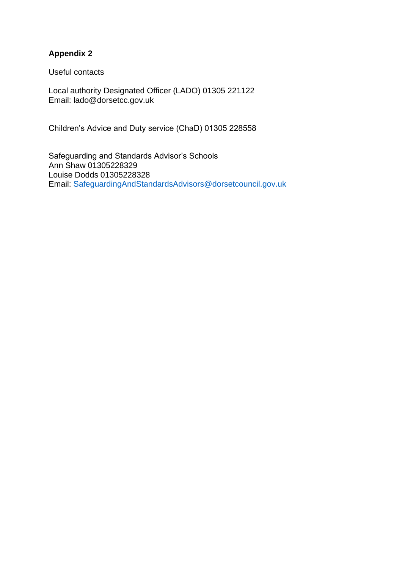# **Appendix 2**

Useful contacts

Local authority Designated Officer (LADO) 01305 221122 Email: lado@dorsetcc.gov.uk

Children's Advice and Duty service (ChaD) 01305 228558

Safeguarding and Standards Advisor's Schools Ann Shaw 01305228329 Louise Dodds 01305228328 Email: [SafeguardingAndStandardsAdvisors@dorsetcouncil.gov.uk](mailto:SafeguardingAndStandardsAdvisors@dorsetcouncil.gov.uk)